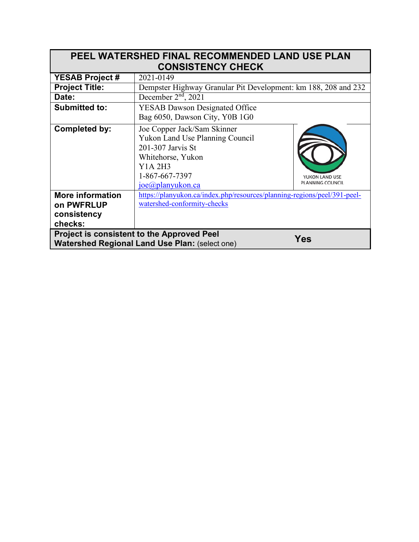| <b>PEEL WATERSHED FINAL RECOMMENDED LAND USE PLAN</b><br><b>CONSISTENCY CHECK</b>                                 |                                                                                                                                                           |                                    |  |  |
|-------------------------------------------------------------------------------------------------------------------|-----------------------------------------------------------------------------------------------------------------------------------------------------------|------------------------------------|--|--|
| <b>YESAB Project #</b>                                                                                            | 2021-0149                                                                                                                                                 |                                    |  |  |
| <b>Project Title:</b>                                                                                             | Dempster Highway Granular Pit Development: km 188, 208 and 232                                                                                            |                                    |  |  |
| Date:                                                                                                             | December $2nd$ , 2021                                                                                                                                     |                                    |  |  |
| <b>Submitted to:</b>                                                                                              | <b>YESAB Dawson Designated Office</b>                                                                                                                     |                                    |  |  |
|                                                                                                                   | Bag 6050, Dawson City, Y0B 1G0                                                                                                                            |                                    |  |  |
| <b>Completed by:</b>                                                                                              | Joe Copper Jack/Sam Skinner<br>Yukon Land Use Planning Council<br>201-307 Jarvis St<br>Whitehorse, Yukon<br>Y1A 2H3<br>1-867-667-7397<br>joe@planyukon.ca | YUKON LAND USE<br>PLANNING COUNCIL |  |  |
| <b>More information</b>                                                                                           | https://planyukon.ca/index.php/resources/planning-regions/peel/391-peel-                                                                                  |                                    |  |  |
| on PWFRLUP                                                                                                        | watershed-conformity-checks                                                                                                                               |                                    |  |  |
| consistency                                                                                                       |                                                                                                                                                           |                                    |  |  |
| checks:                                                                                                           |                                                                                                                                                           |                                    |  |  |
| <b>Project is consistent to the Approved Peel</b><br>Yes<br><b>Watershed Regional Land Use Plan: (select one)</b> |                                                                                                                                                           |                                    |  |  |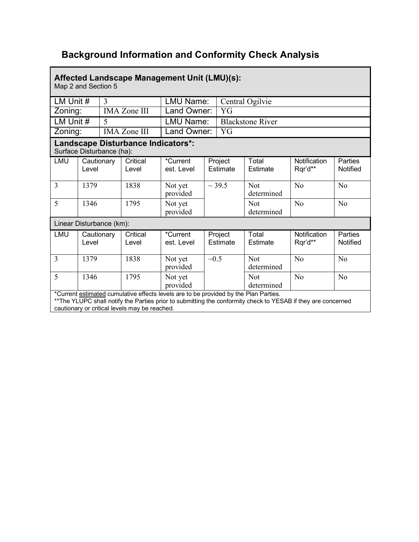## **Background Information and Conformity Check Analysis**

| Affected Landscape Management Unit (LMU)(s):<br>Map 2 and Section 5                                                                                                                                   |                     |                  |                     |                         |                     |                     |                          |                         |                            |
|-------------------------------------------------------------------------------------------------------------------------------------------------------------------------------------------------------|---------------------|------------------|---------------------|-------------------------|---------------------|---------------------|--------------------------|-------------------------|----------------------------|
|                                                                                                                                                                                                       | LM Unit #<br>3      |                  | LMU Name:           |                         | Central Ogilvie     |                     |                          |                         |                            |
| Zoning:<br><b>IMA Zone III</b>                                                                                                                                                                        |                     | Land Owner:      |                     | YG                      |                     |                     |                          |                         |                            |
| LM Unit #<br>5                                                                                                                                                                                        |                     | <b>LMU Name:</b> |                     | <b>Blackstone River</b> |                     |                     |                          |                         |                            |
|                                                                                                                                                                                                       | Zoning:             |                  | <b>IMA Zone III</b> | Land Owner:<br>YG       |                     |                     |                          |                         |                            |
| Landscape Disturbance Indicators*:<br>Surface Disturbance (ha):                                                                                                                                       |                     |                  |                     |                         |                     |                     |                          |                         |                            |
| LMU                                                                                                                                                                                                   | Cautionary<br>Level |                  | Critical<br>Level   | *Current<br>est. Level  | Project<br>Estimate |                     | Total<br>Estimate        | Notification<br>Rqr'd** | <b>Parties</b><br>Notified |
| $\overline{3}$                                                                                                                                                                                        | 1379                |                  | 1838                | Not yet<br>provided     |                     | $\sim$ 39.5         | Not<br>determined        | N <sub>o</sub>          | N <sub>o</sub>             |
| 5                                                                                                                                                                                                     | 1346                |                  | 1795                | Not yet<br>provided     |                     |                     | <b>Not</b><br>determined | No                      | N <sub>o</sub>             |
| Linear Disturbance (km):                                                                                                                                                                              |                     |                  |                     |                         |                     |                     |                          |                         |                            |
| LMU                                                                                                                                                                                                   | Cautionary<br>Level |                  | Critical<br>Level   | *Current<br>est. Level  |                     | Project<br>Estimate | Total<br>Estimate        | Notification<br>Rqr'd** | <b>Parties</b><br>Notified |
| $\overline{3}$                                                                                                                                                                                        | 1379                |                  | 1838                | Not yet<br>provided     | ~10.5               |                     | Not<br>determined        | N <sub>o</sub>          | N <sub>o</sub>             |
| 5                                                                                                                                                                                                     | 1346                |                  | 1795                | Not yet<br>provided     |                     |                     | <b>Not</b><br>determined | No                      | No                         |
| *Current estimated cumulative effects levels are to be provided by the Plan Parties.<br>** The YLUPC shall notify the Parties prior to submitting the conformity check to YESAB if they are concerned |                     |                  |                     |                         |                     |                     |                          |                         |                            |

cautionary or critical levels may be reached.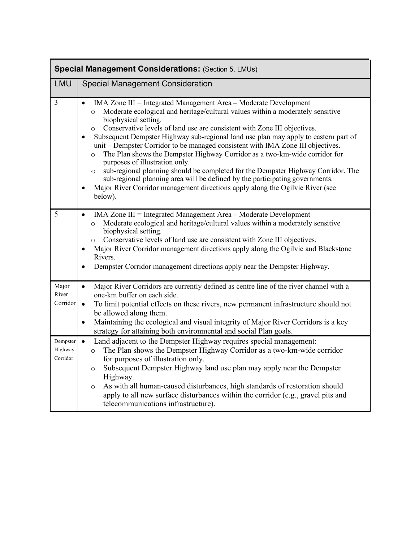| <b>Special Management Considerations: (Section 5, LMUs)</b> |                                                                                                                                                                                                                                                                                                                                                                                                                                                                                                                                                                                                                                                                                                                                                                                                                                                                                                     |  |  |  |
|-------------------------------------------------------------|-----------------------------------------------------------------------------------------------------------------------------------------------------------------------------------------------------------------------------------------------------------------------------------------------------------------------------------------------------------------------------------------------------------------------------------------------------------------------------------------------------------------------------------------------------------------------------------------------------------------------------------------------------------------------------------------------------------------------------------------------------------------------------------------------------------------------------------------------------------------------------------------------------|--|--|--|
| <b>LMU</b>                                                  | <b>Special Management Consideration</b>                                                                                                                                                                                                                                                                                                                                                                                                                                                                                                                                                                                                                                                                                                                                                                                                                                                             |  |  |  |
| $\overline{3}$                                              | IMA Zone III = Integrated Management Area – Moderate Development<br>$\bullet$<br>Moderate ecological and heritage/cultural values within a moderately sensitive<br>$\circ$<br>biophysical setting.<br>Conservative levels of land use are consistent with Zone III objectives.<br>$\circ$<br>Subsequent Dempster Highway sub-regional land use plan may apply to eastern part of<br>$\bullet$<br>unit – Dempster Corridor to be managed consistent with IMA Zone III objectives.<br>The Plan shows the Dempster Highway Corridor as a two-km-wide corridor for<br>$\circ$<br>purposes of illustration only.<br>sub-regional planning should be completed for the Dempster Highway Corridor. The<br>$\circ$<br>sub-regional planning area will be defined by the participating governments.<br>Major River Corridor management directions apply along the Ogilvie River (see<br>$\bullet$<br>below). |  |  |  |
| 5                                                           | IMA Zone III = Integrated Management Area - Moderate Development<br>$\bullet$<br>Moderate ecological and heritage/cultural values within a moderately sensitive<br>$\circ$<br>biophysical setting.<br>Conservative levels of land use are consistent with Zone III objectives.<br>$\circ$<br>Major River Corridor management directions apply along the Ogilvie and Blackstone<br>٠<br>Rivers.<br>Dempster Corridor management directions apply near the Dempster Highway.<br>$\bullet$                                                                                                                                                                                                                                                                                                                                                                                                             |  |  |  |
| Major<br>River<br>Corridor                                  | Major River Corridors are currently defined as centre line of the river channel with a<br>$\bullet$<br>one-km buffer on each side.<br>To limit potential effects on these rivers, new permanent infrastructure should not<br>$\bullet$<br>be allowed along them.<br>Maintaining the ecological and visual integrity of Major River Corridors is a key<br>$\bullet$<br>strategy for attaining both environmental and social Plan goals.                                                                                                                                                                                                                                                                                                                                                                                                                                                              |  |  |  |
| Dempster<br>Highway<br>Corridor                             | Land adjacent to the Dempster Highway requires special management:<br>$\bullet$<br>The Plan shows the Dempster Highway Corridor as a two-km-wide corridor<br>$\circ$<br>for purposes of illustration only.<br>Subsequent Dempster Highway land use plan may apply near the Dempster<br>$\circ$<br>Highway.<br>As with all human-caused disturbances, high standards of restoration should<br>$\circ$<br>apply to all new surface disturbances within the corridor (e.g., gravel pits and<br>telecommunications infrastructure).                                                                                                                                                                                                                                                                                                                                                                     |  |  |  |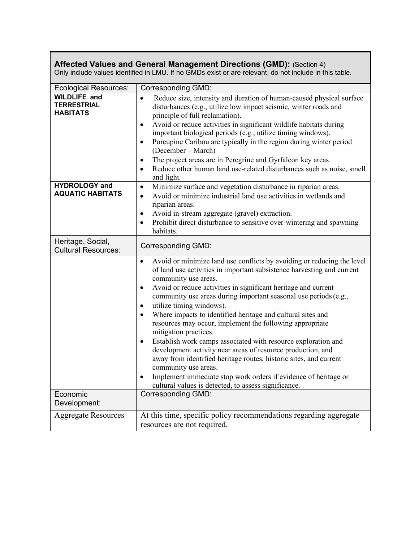| <b>Affected Values and General Management Directions (GMD):</b> (Section 4)<br>Only include values identified in LMU. If no GMDs exist or are relevant, do not include in this table. |                                                                                                                                                                                                                                                                                                                                                                                                                                                                                                                                                                                                                                                                                                                                                                                                                                                                                                                                           |  |  |  |
|---------------------------------------------------------------------------------------------------------------------------------------------------------------------------------------|-------------------------------------------------------------------------------------------------------------------------------------------------------------------------------------------------------------------------------------------------------------------------------------------------------------------------------------------------------------------------------------------------------------------------------------------------------------------------------------------------------------------------------------------------------------------------------------------------------------------------------------------------------------------------------------------------------------------------------------------------------------------------------------------------------------------------------------------------------------------------------------------------------------------------------------------|--|--|--|
| <b>Ecological Resources:</b>                                                                                                                                                          | <b>Corresponding GMD:</b>                                                                                                                                                                                                                                                                                                                                                                                                                                                                                                                                                                                                                                                                                                                                                                                                                                                                                                                 |  |  |  |
| <b>WILDLIFE and</b><br><b>TERRESTRIAL</b><br><b>HABITATS</b>                                                                                                                          | Reduce size, intensity and duration of human-caused physical surface<br>$\bullet$<br>disturbances (e.g., utilize low impact seismic, winter roads and<br>principle of full reclamation).<br>Avoid or reduce activities in significant wildlife habitats during<br>$\bullet$<br>important biological periods (e.g., utilize timing windows).<br>Porcupine Caribou are typically in the region during winter period<br>$\bullet$<br>(December – March)<br>The project areas are in Peregrine and Gyrfalcon key areas<br>٠<br>Reduce other human land use-related disturbances such as noise, smell<br>and light.                                                                                                                                                                                                                                                                                                                            |  |  |  |
| <b>HYDROLOGY and</b><br><b>AQUATIC HABITATS</b>                                                                                                                                       | Minimize surface and vegetation disturbance in riparian areas.<br>$\bullet$<br>Avoid or minimize industrial land use activities in wetlands and<br>$\bullet$<br>riparian areas.<br>Avoid in-stream aggregate (gravel) extraction.<br>٠<br>Prohibit direct disturbance to sensitive over-wintering and spawning<br>$\bullet$<br>habitats.                                                                                                                                                                                                                                                                                                                                                                                                                                                                                                                                                                                                  |  |  |  |
| Heritage, Social,<br><b>Cultural Resources:</b>                                                                                                                                       | <b>Corresponding GMD:</b>                                                                                                                                                                                                                                                                                                                                                                                                                                                                                                                                                                                                                                                                                                                                                                                                                                                                                                                 |  |  |  |
| Economic                                                                                                                                                                              | Avoid or minimize land use conflicts by avoiding or reducing the level<br>$\bullet$<br>of land use activities in important subsistence harvesting and current<br>community use areas.<br>Avoid or reduce activities in significant heritage and current<br>٠<br>community use areas during important seasonal use periods (e.g.,<br>utilize timing windows).<br>$\bullet$<br>Where impacts to identified heritage and cultural sites and<br>$\bullet$<br>resources may occur, implement the following appropriate<br>mitigation practices.<br>Establish work camps associated with resource exploration and<br>٠<br>development activity near areas of resource production, and<br>away from identified heritage routes, historic sites, and current<br>community use areas.<br>Implement immediate stop work orders if evidence of heritage or<br>٠<br>cultural values is detected, to assess significance.<br><b>Corresponding GMD:</b> |  |  |  |
| Development:                                                                                                                                                                          |                                                                                                                                                                                                                                                                                                                                                                                                                                                                                                                                                                                                                                                                                                                                                                                                                                                                                                                                           |  |  |  |
| <b>Aggregate Resources</b>                                                                                                                                                            | At this time, specific policy recommendations regarding aggregate<br>resources are not required.                                                                                                                                                                                                                                                                                                                                                                                                                                                                                                                                                                                                                                                                                                                                                                                                                                          |  |  |  |

**The Community**